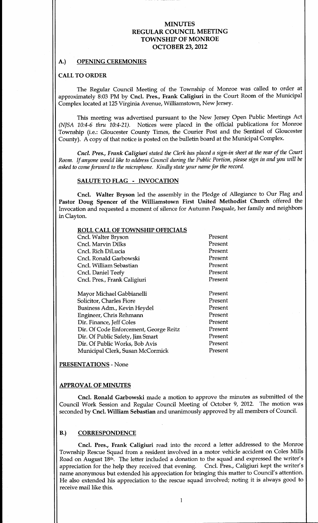#### A.) OPENING CEREMONIES

#### CALL TO ORDER

The Regular Council Meeting of the Township of Monroe was called to order at approximately 8:03 PM by Cncl. Pres., Frank Caligiuri in the Court Room of the Municipal Complex located at 125 Virginia Avenue, Williamstown, New Jersey.

This meeting was advertised pursuant to the New Jersey Open Public Meetings Act (NJSA 10:4-6 thru 10:4-21). Notices were placed in the official publications for Monroe Township (i.e.: Gloucester County Times, the Courier Post and the Sentinel of Gloucester County). A copy of that notice is posted on the bulletin board at the Municipal Complex.

Cncl. Pres., Frank Caligiuri stated the Clerk has placed a sign-in sheet at the rear of the Court Room. If anyone would like to address Council during the Public Portion, please sign in and you will be asked to come forward to the microphone. Kindly state your name for the record.

## SALUTE TO FLAG - INVOCATION

Cncl. Walter Bryson led the assembly in the Pledge of Allegiance to Our Flag and Pastor Doug Spencer of the Williamstown First United Methodist Church offered the Invocation and requested a moment of silence for Autumn Pasquale, her family and neighbors inClayton

#### ROLL CALL OF TOWNSHIP OFFICIALS

| Cncl. Walter Bryson                    | Present |
|----------------------------------------|---------|
| Cncl. Marvin Dilks                     | Present |
| Cncl. Rich DiLucia                     | Present |
| Cncl. Ronald Garbowski                 | Present |
| Cncl. William Sebastian                | Present |
| Cncl. Daniel Teefy                     | Present |
| Cncl. Pres., Frank Caligiuri           | Present |
|                                        |         |
| Mayor Michael Gabbianelli              | Present |
| Solicitor, Charles Fiore               | Present |
| Business Adm., Kevin Heydel            | Present |
| Engineer, Chris Rehmann                | Present |
| Dir. Finance, Jeff Coles               | Present |
| Dir. Of Code Enforcement, George Reitz | Present |
| Dir. Of Public Safety, Jim Smart       | Present |
| Dir. Of Public Works, Bob Avis         | Present |

PRESENTATIONS - None

Municipal Clerk, Susan McCormick

#### APPROVAL OF MINUTES

Cncl. Ronald Garbowski made a motion to approve the minutes as submitted of the Council Work Session and Regular Council Meeting of October 9, 2012. The motion was seconded by Cncl. William Sebastian and unanimously approved by all members of Council.

Present

#### B.) CORRESPONDENCE

Cncl. Pres., Frank Caligiuri read into the record a letter addressed to the Monroe Township Rescue Squad from a resident involved in a motor vehicle accident on Coles Mills Road on August 18th. The letter included a donation to the squad and expressed the writer's appreciation for the help they received that evening. Cncl. Pres., Caligiuri kept the writer's name anonymous but extended his appreciation for bringing this matter to Council's attention. He also extended his appreciation to the rescue squad involved; noting it is always good to receive mail like this.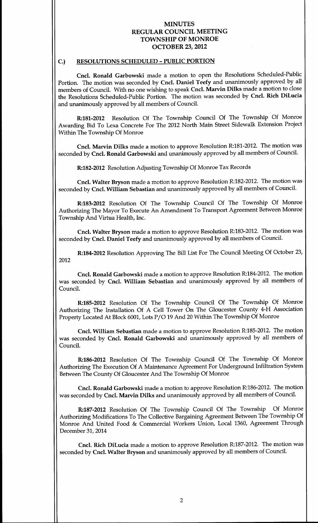#### C.) RESOLUTIONS SCHEDULED - PUBLIC PORTION

Cncl. Ronald Garbowski made a motion to open the Resolutions Scheduled-Public Portion. The motion was seconded by Cncl. Daniel Teefy and unanimously approved by all members of Council. With no one wishing to speak Cncl. Marvin Dilks made a motion to close the Resolutions Scheduled-Public Portion. The motion was seconded by Cncl. Rich DiLucia and unanimously approved by all members of Council

R:181-2012 Resolution Of The Township Council Of The Township Of Monroe Awarding Bid To Lexa Concrete For The <sup>2012</sup> North Main Street Sidewalk Extension Project Within The Township Of Monroe

Cncl. Marvin Dilks made a motion to approve Resolution R:181-2012. The motion was seconded by Cncl. Ronald Garbowski and unanimously approved by all members of Council.

R:182-2012 Resolution Adjusting Township Of Monroe Tax Records

Cncl. Walter Bryson made a motion to approve Resolution R:182-2012. The motion was seconded by Cncl. William Sebastian and unanimously approved by all members of Council.

R:183-2012 Resolution Of The Township Council Of The Township Of Monroe Authorizing The Mayor To Execute An Amendment To Transport Agreement Between Monroe Township And Virtua Health, Inc.

Cncl. Walter Bryson made a motion to approve Resolution R:183-2012. The motion was seconded by Cncl. Daniel Teefy and unanimously approved by all members of Council.

R:184-2012 Resolution Approving The Bill List For The Council Meeting Of October 23, 2012

Cncl. Ronald Garbowski made a motion to approve Resolution R:184-2012. The motion was seconded by Cncl. William Sebastian and unanimously approved by all members of Council

R:185-2012 Resolution Of The Township Council Of The Township Of Monroe Authorizing The Installation Of A Cell Tower On The Gloucester County <sup>4</sup> <sup>H</sup> Association Property Located At Block 6001, Lots P/O 19 And 20 Within The Township Of Monroe

Cncl. William Sebastian made a motion to approve Resolution R:185-2012. The motion was seconded by Cncl. Ronald Garbowski and unanimously approved by all members of Council

R:186-2012 Resolution Of The Township Council Of The Township Of Monroe Authorizing The Execution Of A Maintenance Agreement For Underground Infiltration System Between The County Of Gloucester And The Township Of Monroe

Cncl. Ronald Garbowski made a motion to approve Resolution R:186-2012. The motion was seconded by Cncl. Marvin Dilks and unanimously approved by all members of Council.

R:187-2012 Resolution Of The Township Council Of The Township Of Monroe Authorizing Modifications To The Collective Bargaining Agreement Between The Township Of Monroe And United Food & Commercial Workers Union, Local 1360, Agreement Through December 31, 2014

Cncl. Rich DiLucia made a motion to approve Resolution R:187-2012. The motion was seconded by Cncl. Walter Bryson and unanimously approved by all members of Council.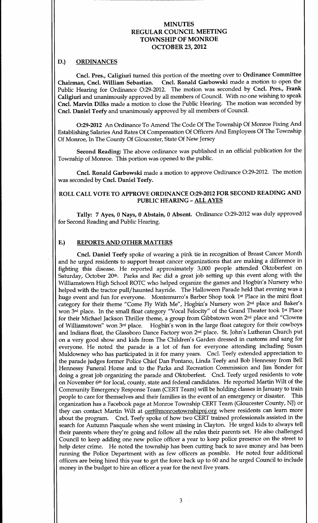#### D.) ORDINANCES

Cncl. Pres., Caligiuri turned this portion of the meeting over to Ordinance Committee<br>Chairman, Cncl. William Sebastian. Cncl. Ronald Garbowski made a motion to open the Cncl. Ronald Garbowski made a motion to open the Public Hearing for Ordinance O:29-2012. The motion was seconded by Cncl. Pres., Frank Caligiuri and unanimously approved by all members of Council. With no one wishing to speak Cncl. Marvin Dilks made a motion to close the Public Hearing. The motion was seconded by Cncl. Daniel Teefy and unanimously approved by all members of Council.

O:29-2012 An Ordinance To Amend The Code Of The Township Of Monroe Fixing And Establishing Salaries And Rates Of Compensation Of Officers And Employees Of The Township Of Monroe, In The County Of Gloucester, State Of New Jersey

Second Reading: The above ordinance was published in an official publication for the Township of Monroe. This portion was opened to the public.

Cncl. Ronald Garbowski made a motion to approve Ordinance O:29-2012. The motion was seconded by Cncl. Daniel Teefy.

# ROLL CALL VOTE TO APPROVE ORDINANCE O:29-2012 FOR SECOND READING AND PUBLIC HEARING - ALL AYES

Tally: 7 Ayes, 0 Nays, 0 Abstain, 0 Absent. Ordinance O:29-2012 was duly approved for Second Reading and Public Hearing

#### E.) REPORTS AND OTHER MATTERS

Cncl. Daniel Teefy spoke of wearing a pink tie in recognition of Breast Cancer Month and he urged residents to support breast cancer organizations that are making <sup>a</sup> difference in fighting this disease. He reported approximately 3,000 people attended Oktoberfest on Saturday, October 20<sup>th</sup>. Parks and Rec did a great job setting up this event along with the Williamstown High School ROTC who helped organize the games and Hogbin's Nursery who helped with the tractor pull/haunted hayride. The Halloween Parade held that evening was a huge event and fun for everyone. Montemurro's Barber Shop took 1st Place in the mini float category for their theme "Come Fly With Me", Hogbin's Nursery won 2<sup>nd</sup> place and Baker's won 3rd place. In the small float category "Vocal Felocity" of the Grand Theater took 1st Place for their Michael Jackson Thriller theme, a group from Gibbstown won 2<sup>nd</sup> place and "Clowns of Williamstown" won 3rd place. Hogbin's won in the large float category for their cowboys and Indians float, the Glassboro Dance Factory won 2<sup>nd</sup> place. St. John's Lutheran Church put on a very good show and kids from The Children's Garden dressed in customs and sang for everyone. He noted the parade is a lot of fun for everyone attending including Susan Muldowney who has participated in it for many years. Cncl. Teefy extended appreciation to the parade judges former Police Chief Dan Pontano, Linda Teefy and Bob Hennessy from Bell Hennessy Funeral Home and to the Parks and Recreation Commission and Jim Bonder for doing a great job organizing the parade and Oktoberfest. Cncl. Teefy urged residents to vote on November 6th for local, county, state and federal candidates. He reported Martin Wilt of the Community Emergency Response Team (CERT Team) will be holding classes in January to train<br>people to care for themselves and their families in the event of an emergency or disaster. This people to care for themselves and their families in the event of an emergency or disaster. organization has a Facebook page at Monroe Township CERT Team (Gloucester County, NJ) or they can contact Martin Wilt at cert@monroetownshipnj.org where residents can learn more about the program. Cncl. Teefy spoke of how two CERT trained professionals assisted in the search for Autumn Pasquale when she went missing in Clayton. He urged kids to always tell their parents where they're going and follow all the rules their parents set. He also challenged Council to keep adding one new police officer a year to keep police presence on the street to help deter crime. He noted the township has been cutting back to save money and has been running the Police Department with as few officers as possible. He noted four additional officers are being hired this year to get the force back up to <sup>60</sup> and he urged Council to include money in the budget to hire an officer a year for the next five years

 $\sim$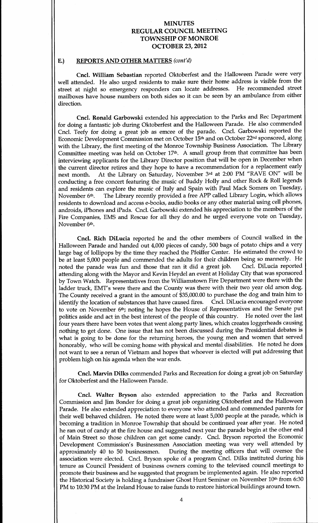### E.) REPORTS AND OTHER MATTERS (cont'd)

Cncl. William Sebastian reported Oktoberfest and the Halloween Parade were very well attended. He also urged residents to make sure their home address is visible from the street at night so emergency responders can locate addresses. He recommended street mailboxes have house numbers on both sides so it can be seen by an ambulance from either direction.

Cncl. Ronald Garbowski extended his appreciation to the Parks and Rec Department for doing a fantastic job during Oktoberfest and the Halloween Parade. He also commended Cncl. Teefy for doing a great job as emcee of the parade. Cncl. Garbowski reported the Economic Development Commission met on October 15<sup>th</sup> and on October 22<sup>nd</sup> sponsored, along with the Library, the first meeting of the Monroe Township Business Association. The Library Committee meeting was held on October 17th. A small group from that committee has been interviewing applicants for the Library Director position that will be open in December when the current director retires and they hope to have a recommendation for a replacement early next month. At the Library on Saturday, November 3rd at 2:00 PM "RAVE ON" will be conducting a free concert featuring the music of Buddy Holly and other Rock & Roll legends and residents can explore the music of Italy and Spain with Paul Mack Somers on Tuesday,<br>November 6<sup>th</sup>. The Library recently provided a free APP called Library Login, which allows The Library recently provided a free APP called Library Login, which allows residents to download and access e-books, audio books or any other material using cell phones, androids, iPhones and iPads. Cncl. Garbowski extended his appreciation to the members of the Fire Companies, EMS and Rescue for all they do and he urged everyone vote on Tuesday, November 6<sup>th</sup>.

Cncl. Rich DiLucia reported he and the other members of Council walked in the Halloween Parade and handed out 4,000 pieces of candy, 500 bags of potato chips and a very large bag of lollipops by the time they reached the Pfeiffer Center. He estimated the crowd to be at least 5,000 people and commended the adults for their children being so mannerly. He noted the parade was fun and those that ran it did a Cncl. DiLucia reported attending along with the Mayor and Kevin Heydel an event at Holiday City that was sponsored by Town Watch. Representatives from the Williamstown Fire Department were there with the ladder truck, EMT's were there and the County was there with their two year old arson dog. The County received a grant in the amount of \$35,000.00 to purchase the dog and train him to identify the location of substances that have caused fires. Cncl. DiLucia encouraged everyone to vote on November  $6<sup>th</sup>$ ; noting he hopes the House of Representatives and the Senate put politics aside and act in the best interest of the people of this country. He noted over the last politics aside and act in the best interest of the people of this country. four years there have been votes that went along party lines, which creates loggerheads causing nothing to get done. One issue that has not been discussed during the Presidential debates is what is going to be done for the returning heroes, the young men and women that served honorably, who will be coming home with physical and mental disabilities. He noted he does not want to see a rerun of Vietnam and hopes that whoever is elected will put addressing that problem high on his agenda when the war ends.

Cncl. Marvin Dilks commended Parks and Recreation for doing a great job on Saturday for Oktoberfest and the Halloween Parade

Cncl. Walter Bryson also extended appreciation to the Parks and Recreation Commission and Jim Bonder for doing a great job organizing Oktoberfest and the Halloween Parade. He also extended appreciation to everyone who attended and commended parents for their well behaved children. He noted there were at least 5,000 people at the parade, which is becoming a tradition in Monroe Township that should be continued year after year. He noted he ran out of candy at the fire house and suggested next year the parade begin at the other end of Main Street so those children can get some candy. Cncl. Bryson reported the Economic Development Commission's Businessmen Association meeting was very well attended by approximately 40 to 50 businessmen. During the meeting officers that will oversee the During the meeting officers that will oversee the association were elected. Cncl. Bryson spoke of a program Cncl. Dilks instituted during his tenure as Council President of business owners coming to the televised council meetings to promote their business and he suggested that program be implemented again. He also reported the Historical Society is holding a fundraiser Ghost Hunt Seminar on November 10<sup>th</sup> from 6:30 PM to 10:30 PM at the Ireland House to raise funds to restore historical buildings around town.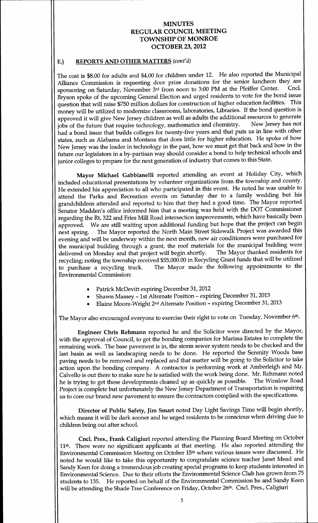## E.) REPORTS AND OTHER MATTERS (cont'd)

The cost is \$8.00 for adults and \$4.00 for children under 12. He also reported the Municipal Alliance Commission is requesting door prize donations for the senior luncheon they are<br>gronsoring on Saturday, November 3rd from noon to 3:00 PM at the Pfeiffer Center. Cncl. sponsoring on Saturday, November 3rd from noon to 3:00 PM at the Pfeiffer Center. Bryson spoke of the upcoming General Election and urged residents to vote for the bond issue question that will raise \$750 million dollars for construction of higher education facilities. This money will be utilized to modernize classrooms, laboratories, Libraries. If the bond question is approved it will give New Jersey children as well as adults the additional resources to generate<br>jobs of the future that require technology, mathematics and chemistry. New Jersey has not jobs of the future that require technology, mathematics and chemistry. had <sup>a</sup> bond issue that builds colleges for twenty five years and that puts us in line with other states, such as Alabama and Montana that does little for higher education. He spoke of how New Jersey was the leader in technology in the past, how we must get that back and how in the future our legislators in a by-partisan way should consider a bond to help technical schools and junior colleges to prepare for the next generation of industry that comes to this State.

Mayor Michael Gabbianelli reported attending an event at Holiday City, which included educational presentations by volunteer organizations from the township and county He extended his appreciation to all who participated in this event. He noted he was unable to attend the Parks and Recreation events on Saturday due to a family wedding but his grandchildren attended and reported to him that they had a good time. The Mayor reported Senator Madden's office informed him that a meeting was held with the DOT Commissioner regarding the Rt. 322 and Fries Mill Road intersection improvements, which have basically been approved. We are still waiting upon additional funding but hope that the project can begin<br>next spring. The Mayor reported the North Main Street Sidewalk Project was awarded this The Mayor reported the North Main Street Sidewalk Project was awarded this evening and will be underway within the next month, new air conditioners were purchased for the municipal building through a grant, the roof materials for the municipal building were delivered on Monday and that project will begin shortly. The Mayor thanked residents for recycling; noting the township received \$55,000.00 in Recycling Grant funds that will be utilized to purchase a The Mayor made the following appointments to the Environmental Commission

- Patrick McDevitt expiring December 31, 2012
- Shawn Massey 1st Alternate Position expiring December 31, 2013
- Elaine Moore-Wright 2<sup>nd</sup> Alternate Position expiring December 31, 2013

The Mayor also encouraged everyone to exercise their right to vote on Tuesday, November 6<sup>th</sup>.

Engineer Chris Rehmann reported he and the Solicitor were directed by the Mayor with the approval of Council, to get the bonding companies for Marissa Estates to complete the remaining work. The base pavement is in, the storm sewer system needs to be checked and the last basin as well as landscaping needs to be done. He reported the Serenity Woods base paving needs to be removed and replaced and that matter will be going to the Solicitor to take action upon the bonding company. A contractor is performing work at Amberleigh and Mr. Calvello is out there to make sure he is satisfied with the work being done. Mr. Rehmann noted<br>he is trying to get these developments cleaned up as quickly as possible. The Winslow Road he is trying to get these developments cleaned up as quickly as possible. Project is complete but unfortunately the New Jersey Department of Transportation is requiring us to core our brand new pavement to ensure the contractors complied with the specifications.

Director of Public Safety, Jim Smart noted Day Light Savings Time will begin shortly, which means it will be dark sooner and he urged residents to be conscious when driving due to children being out after school.

Cncl. Pres., Frank Caligiuri reported attending the Planning Board Meeting on October 11<sup>th</sup>. There were no significant applicants at that meeting. He also reported attending the Environmental Commission Meeting on October 15<sup>th</sup> where various issues were discussed. He noted he would like to take this opportunity to congratulate science teacher Janet Mead and Sandy Keen for doing a tremendous job creating special programs to keep students interested in Environmental Science. Due to their efforts the Environmental Science Club has grown from 75 students to 135. He reported on behalf of the Environmental Commission he and Sandy Keen will be attending the Shade Tree Conference on Friday, October 26th. Cncl. Pres., Caligiuri